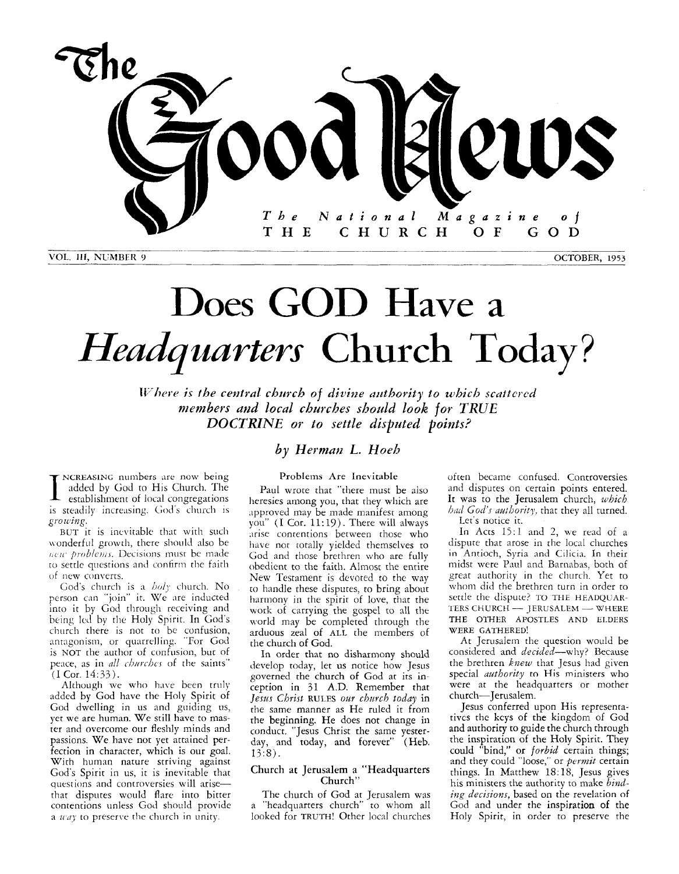

VOL. **111, NUMBER** *9* **OCTOBER, 1953** 

*po wing.* 

of new converts.

(I Cor. *14:33).* 

**NCREASING** numbers are now being added by God to His Church. The establishment of local congregations is steadily increasing. God's church is

BUT it is inevitable that with such wonderful growth, there should also be new problems. Decisions must be made *to* settle questions and confirm the faith

God's church is a *boly* church. No person can "join" it. We nre inducted into it by God through receiving and being led by the Holy Spirit. In God's church there is not to be confusion, antagonism, or quarrelling. "For God is NOT the author of confusion, but of peace, as in *all churches* of the saints"

Although **we** who have been truly added by God have the Holy Spirit of God dwelling in us and guiding us, yet we are human. We still have to master and overcome our fleshly minds and passions. We have not yet attained perfection in character, which is our goal. Wirh human nature striving against God's Spirit in us, it is inevitable that questions and controversies will arisethat disputes would flare into bitter contentions unless God should provide a  $way$  to preserve the church in unity.

# Does GOD Have <sup>a</sup> *Headquarters* Church Today?

*Where is the central church of divine authority to which scattered* members and local churches should look for TRUE *DOCTRINE* or to settle disputed points?

## $b$ *y* Herman L. Hoeb

Problems Are Inevitable

Paul wrote that "there must be aiso heresies among you, that they which are approved may be made manifest among you" (I Cor. 11:19). There will always arise contentions between those who have not totally yielded themselves to God and those brethren who are fully obedient to the faith. Almost the entire New Testament is devoted *to* the way *to* handle these disputes, to bring about harmony in the spirit of love, that the **work** of carrying the gospel to all the world may be completed through the arduous zeal of ALL the members of the church of God.

In order that no disharmony should develop today, let us notice how Jesus governed the church of God at its inception in 31 **A.D.** Remember that Jeszis *Christ* RULES *ow chzcrch today* in the same manner as He ruled it from the beginning. He does not change in conduct. "Jesus Christ the same yesterday, and today, and forever" (Heb.  $13:8$ ).

#### Church at Jerusalem a "Headquarters Church"

The church of God at Jerusalem was a "headquarters church" *to* whom all looked for TRUTH! Other local churches often became confused. Controversies and disputes on certain points entered. It was to the Jerusalem church, *which hid God's aalhority,* that they all turned. Let's notice it.

In Acts 15:l and 2, we read of a dispute that arose in the local churches in .Antioch, Syria and Cilicia. In their midst were Paul and Barnabas, both of great authority in the church. Yet to whom did the brethren turn in order to<br>settle the dispute? TO THE HEADQUAR-<br>TERS CHURCH - JERUSALEM -- WHERE settle the dispute? TO THE HEADQUAR-THE OTHER APOSTLES AND ELDERS WERE GATHERED!

At Jerusalem the question would be considered and *decided*-why? Because the brethren *knew* that Jesus had given special *azcthority* to His ministers who were at the headquarters or mother church- Jerusalem.

Jesus conferred upon His representatives the kcys of the kingdom of God and authority to guide the church through the inspiration of the Holy Spirit. They could "bind," or *forbid* certain things; and they could "loose," or *permit* certain things. In Matthew 18:18, Jesus gives his ministers the authority to make *bind*ing decisions, based on the revelation of God and under the inspiration of the Holy Spirit, in order to preserve the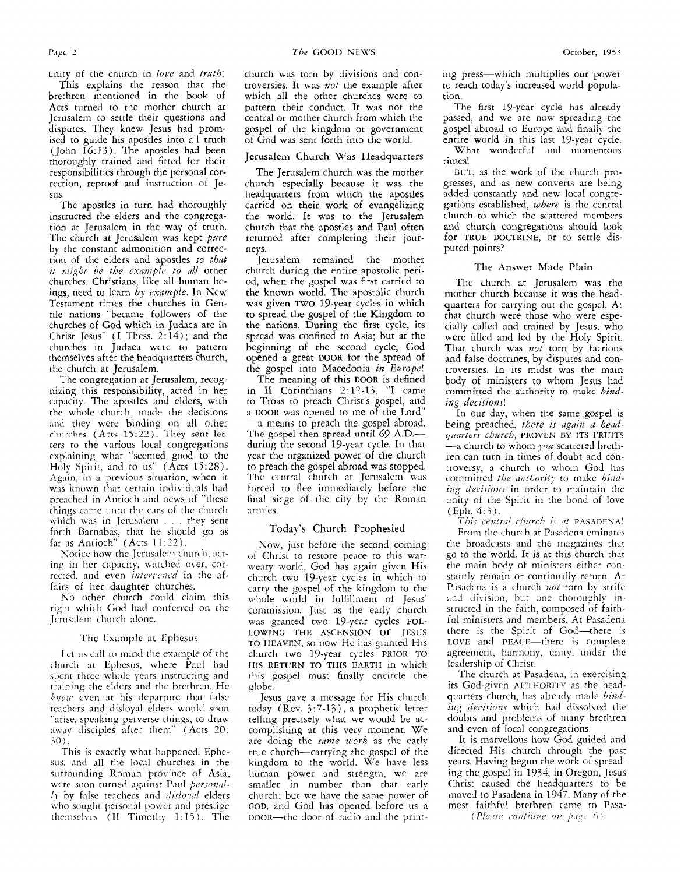*The* GOOD NEWS **October, 1953** 

unity of the church in *love* and *truth!* 

This explains the reason that the brethren mentioned in the book of Acts turned to the mother church at Jerusalem to settle their questions and disputes. They knew Jesus had promised to guide his apostles into all truth (John 16:13). The apostles had been thoroughly trained and fitted for their responsibilities through the personal correction, reproof and instruction of Jesus.

The apostles in turn had thoroughly instructed the elders and the congregation at Jerusalem in the way of truth. 'l'he church at Jerusalem was kept *pure*  by the constant admonition and correction of the elders and apostles so *thut it might be the example to all other* churches. Christians, like all human beings, need to learn *by example.* In New Testament times the churches in Gentile nations "became followers of thc churches of God which in Judaea are in Christ Jesus" (I Thess. 2: *14)* ; and the churches in Judaea were to pattern themselves after the headquarters church, the church at Jerusalem.

The congregation at Jerusalem, recognizing this responsibility, acted in her capacity. The apostles and elders, with the whole church, made the decisions and they were binding on all other churches (Acts 15:22). They sent letters to the various local congregations explaining what "seemed good to the Holy Spirit, and to us" (Acts  $15:28$ ). Again, in a previous situation, when ii was known that certain individuals had preached in Antioch and news of "these things *cnme* un:o the cars of the church which was in Jerusalem . . . they sent forth Barnnbas, that he should go as far as Antioch" (Acts 1 1 *:12).* 

Notice how the Jerusalem church, acting in her capacity, watched over, corrected, and even *intervened* in the affairs of her daughter churches.

No other church could claim this right which God had conferred on the Jerusalem church alone.

#### The Example at Ephesus

I.ct **us** cdl to mind the example of the church at Ephesus, where Paul had spent three whole years instructing and training the elders and the brethren, He *kueri,* even at his deparrure that false teachers and disloyal elders would soon "arise, speaking perverse things, to draw away disciples after theni" (Acts 20: 10).

This is exactly what happened. Ephesus. and all the local churches in the surrounding Roman province of Asia, were soon turned against Paul *personal-* $1<sub>T</sub>$  by false teachers and *disloyal* elders who sought personal power and prestige themselves **(11** Timothy 1 : 15 ). The church was torn by divisions and controversies. It was *not* the example after which all the other churches were to pattern their conduct. It was not the central or mother church from which the gospel of the kingdom or government of God was sent forth into the world.

#### Jerusalem Church Was Headquarters

The Jerusalem church was the mother church especially because it was the headquarters from which the apostles carried on their work of evangelizing the world. It was to the Jerusalem church that the apostles and Paul often returned after completing their journeys.

Jerusalem remained the mother church during the entire apostolic period, when the gospel was first carried to the known world. The apostolic church was given TWO 19-year cycles in which to spread the gospel of **the** Kingdom to the nations. During the first cycle, its spread was confined to Asia; but at the beginning of the second cycle, God opened a great DOOR for the spread of the gospel into Macedonia *in Europe!* 

The meaning of this DOOR is defined in II Corinthians 2:12-13. "I came to Troas to preach Christ's gospel, and a DOOR was opened to me of the Lord" -a means to preach the gospel abroad. The gospel then spread until 69 A.D.during the second 19-year cycle. In that year the organized power of the church to preach the gospel abroad was stopped. The central church at Jerusalem was forced to flee immediately before the final siege of the city by the Roman armies.

#### Today's Church Prophesied

Now, just before the second coming of Christ to restore peace to this warweary world, God has again given His church two 19-year cycles in which to carry the gospel of the kingdom to the whole world in fulfillment of Jesus' commission. Just as the early church was granted two 19-year cycles FOL-LOWING THE ASCENSION OF JESUS TO HEAVEN, so now He has granted His church two 19-year cycles PRIOR TO HIS RETURN TO THIS EARTH in which this gospel must finally encircle the globe.

Tesus gave a message for His church today (Rev. 3:7-13), a prophetic letter telling precisely what we would be accomplishing at this very moment. We are doing the same work as the early true church-carrying the gospel of the kingdom to the world. We have less human power and strength, we are smaller in number than that early church; but we have the same power of GOD, and God has opened before us a DOOR-the door of radio and the pin:-

ing press-which multiplies our power to reach today's increased world population.

The first 19-year cycle has already passed, and we are now spreading the gospel abroad to Europe and finally the entire world in this last 19-year cycle. What wonderful and momentous times!

BUT, as the work of the church progresses, and as new converts are being added constantly and new local congregations established, *where* is the central church to which the scattered members and church congregations should look for TRUE DOCTRINE, or to settle disputed points?

#### The Answer Made Plain

The church at Jerusalem was the mother church because it was the headquarters for carrying out the gospel. At that church were those who were especially called and trained by Jesus, who were filled and led by the Holy Spirit. That church was *not* torn by factions and false doctrines, by disputes and controversies. In its midst was the main body of ministers to whom Jesus had committed the authority to make *bindiizg decisions!* 

In our day, when the same gospel is being preached, *there is again a headqiinrters chzmh,* **PKVVEN BY ITS** FRUITS -a church to whom *j'ou* scattered brethren can turn in times of doubt and controversy, a church to whom God has committed the authority to make binding decisions in order to maintain the unity of the Spirit in the bond of love (Eph. 4:3).

*Thir cenii.d rhitrch 11 nt* PASADENA!

From the church at Pasadena eminates the broadcasts and the magazines that go to the world. It is at this church that the main body of ministers either constantly remain or continually return. At Pasadena is a church *not* torn by strife and division, but one thoroughly instructed in the faith, composed of faithful ministers and members. At Pasadena there is the Spirit of God-there is LOVE and PEACE-there is complete agreement, harmony, unity, under the leadership of Christ.

The church at Pasadena, in exercising its God-given AUTHORITY as the headquarters church, has already made *bind*ing decisions which had dissolved the doubts and problems of many brethren and even of local congregations.

It is marvellous how God guided and directed His church through the past years. Having begun the work of spreading the gospel in *1934,* in Oregon, Jesus Christ caused the headquarters to be moved to Pasadena in *1947.* Many of the most faithful brethren came to Pasa-*(Please continue on page 6)*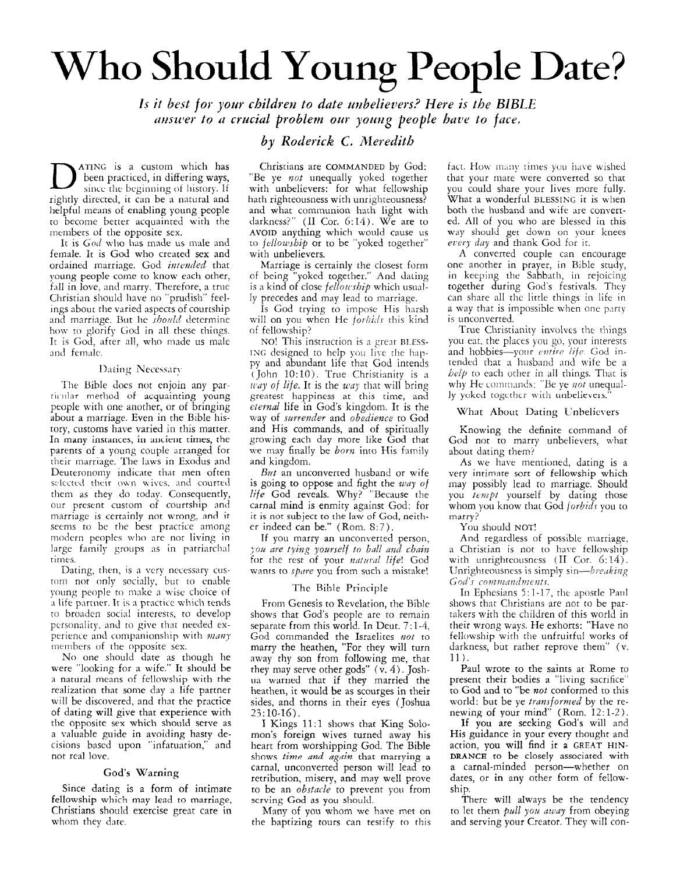# Who Should Young People **Date?**

*1s it best for your childreu to date mbelieuers? Here is the BIBLE answer to a crucial problem our young people have to face.* 

### *by Roderick C. Meredith*

ATING is a custom which has been practiced, in differing ways, since the beginning of history. If rightly directed, it can be a natural and helpful means of enabling young people to become better acquainted with the members of the opposite sex.

It is *God* who has made us male and female. It is God who created sex and ordained marriage. God *intended* that young people come to **know** each other, fall in love, **and** marry. Therefore, a true Christian should have no "prudish" feelings about the varied aspects of courtship and marriage. But he *should* determine how to glorify God in all these things. It is God, after all, who inade **us** inale and female.

#### Dating Necessary

The Bible does not enjoin any parric-iilgr method of acquainting young people with one another, or of bringing about a marriage. Even in the Bible history, customs have varied in this matter. In many instances, in ancient times, the parents of a young couple arranged for their marriage. The laws in Exodus and Deuteronomy indicate that men often selected their own wives, and courted them as rhey do today. Consequently, our present custom of courtship and marriage is certainly not wrong, and *it*  seems to be the best practice among modern peoples who are not living in large family groups as in patriarchal rimes.

Dating, then, is a very necessary custom not only socially, but to enable young people to make a wise choice of a life partner. It is a practice which tends to broaden socid interests, to develop pcrsonnlity, and to give that needed experience and companionship with *many* 

members of the opposite sex. No one should date as though he were "looking for a wife." It should be a natural means of fellowship with the realization that some day a life partner will be discovered, and that the practice of dating will give that experience with the opposite sex which should serve as a valuable guide in avoiding hasty decisions based upon "infatuation," and not real love.

#### God's Warning

Since dating is a form of intimate fellowship which may lead to marriage, Christians should exercise great care in whom they date.

Christians are COMMANDED by God: "Be ye not unequally yoked together with unbelievers: for what fellowship hath righteousness with unrighteousness? and what communion hath light with darkness?" (I1 Cor. *6:14).* We are to AVOID anything which would cause us to *fellowship* or to be "yoked together" with unbelievers.

Marriage is certainly the closest form of being "yokcd together." And dating is a kind of close *fellowship* which usually precedes and may lead to marriage.

Is God trying to impose His harsh will on you when He *forbids* this kind of fellowship?

NO! This instruction is a great BLESS-**ING** designed to help you live the happy and abundant life that God intends (John 10: 10). True Christimity is **a**  *way of life*. It is the way that will bring greatest happiness at this time, and *eternal* life in God's kingdom. It is the way of *szwrender* and *obedience* to God and His commands, and of spiritually growing each day more like God that we may finally be *born* into His family and kingdom.

But an unconverted husband or wife is going to oppose and fight the *way of life* God reveals. Why? "Because the carnal mind is enmity against God: for it is not subject to the law of God, neither indeed can be." (Rom. S:7),

If you marry an unconverted person, *you are tying yourself to ball and chain* for the rest of your natural life! God wants to *spare* you from such a mistake!

#### The Bible Principle

From Genesis to Revelation, the Bible shows that God's people are to remain separate from this world. In Deut. 7: *1-4,*  God commanded the Israelites not to marry the heathen, "For they will turn away thy son from following me, that they may serve other gods" (v. *4).* Joshua warned that if they married the heathen, it would be as scourges in their sides, and thorns in their eyes (Joshua  $23:10-16$ ).

I Kings 11:1 shows that King Solomon's foreign wives turned away his heart from worshipping God. The Bible shows *time and again* that marrying a carnal, unconverted person will lead to retribution, misery, and may well prove to be an *obstacle* to prevent you from scrving God **as** you should.

Many of you whom we have met on the baptizing tours can testify to this

fact. How many times you have wished that your mate were converted so that you could share your lives more fully. What a wonderful **BLESSI~V'G** it is when both the husband and wife are converted. All of you who are blessed in this way should get down on your knees *day* and thank God for it.

A converted couple can encourage one another in prayer, in Bible study, in keeping the Sabbath, in rejoicing together during God's festivals. They can share all the little things in life in a way that is impossible when one party is unconverted.

True Chrisrianity involves the things you eat, the places you go, your interests and hobbies-your *entire life*. God intended chat **n** husband and wife be a *he/p* to each other in all things. That is why He commands: "Be ye *not* unequally yoked together with unbelievers.

#### What About Dating Vnbelievers

Knowing the definite command of God not to marry unbelievers, what about dating them?

As we have mentioned, dating is a very intimate sort of fellowship which may possibly lead to marriage. Should you *tempt* yourself by dating those whom you know that God *forbidr* you to marry?

You should NOT!

And regardless of possible marriage, a Christian is not to have fellowship with unrighteousness (II Cor. 6:14). Unrighteousness is simply sin-breaking *God's* commandments.

In Ephesians 5:1-17, the apostle Paul shows that Christians are not to be parrakers with the children of this world in their wrong ways. He exhorts: "Have no fellowship with the unfruitful works of darkness, but rather reprove them" (v. 11).

Paul wrote to the saints at Rome to present their bodies a "living sacrifice" to God and to "be *not* conformed to this world: but be ye *transformed* by the renewing of your mind" (Rom.  $12:1-2$ ).

If you are seeking God's will and His guidance in your every thought and action, you will find it **a** GREAT HIN-**DRANCE** to be closely associated with a carnal-minded person--whether on dates, or in any other form of fellowship.

There will always be the tendency to let them *pall yoz away* from obeying and serving your Creator. They will con-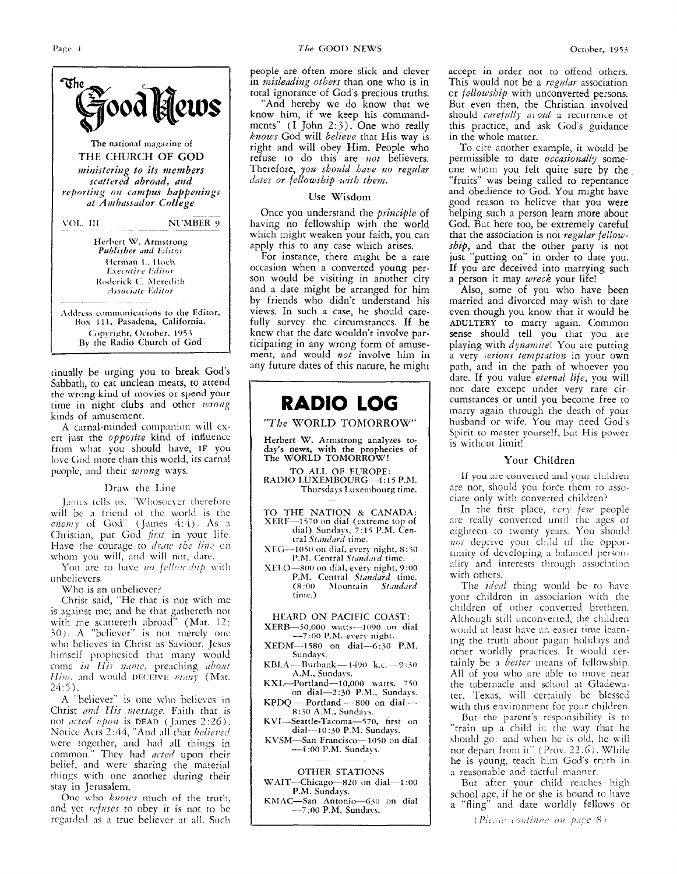

kinds of amusement. A carnal-minded companion will exert just the *opposite* kind of influence from what you should have, IF you love God more than this world, its carnal people, and their *wrong* ways.

#### Draw the Line

James tells us. "Whosoever therefore will be **a** friend of the world is the enemy of God" (James 4:4). As a Christian, put God first in your life. Have the courage to *draw the line* on whom you will, and will not, date.

You are to have *no fellowship* with unbelievers.

Who is an unbeliever?

Christ said, "He that is not with me is against me; and he that gathereth not with me scattereth abroad" (Mat. 12: *30).* A "believer" is not merely one **~'110** believes in Christ as Saviour. Jesus himself prophesied that many would come *in His name*, preaching *about Him, and would DECEIVE many (Mat. 24:5).* 

A "believer" is one who bclievcs in Christ *and His message*. Faith that is not *acted upon* is DEAD (James 2:26). Notice Acts 2:44, "And all that *believed* were together, and had all things in common." They had *acted* upon their belief, and were sharing the material things with one another during their stay in Jerusalem.

One who *knows* much of the truth, and yet *refuses* to obey it is not to be regarded as a true believer at all. Such people are often more slick and clever in *nzisleading others* than one who is in total ignorance of God's precious truths.

"And hereby we do know that we know him, if we keep his commandments"  $(I \nightharpoonup I \nightharpoonup I$  (I  $I \nightharpoonup I$  and  $I \nightharpoonup I$ ). One who really *knows* God will *believe* that His way is right and will obey Him. People who refuse to do this are *not* believers. Therefore, *you should have* ?zo *regular cliites or fellowship with them.* 

#### **Use** Wisdom

Once you understand the *principle* of having no fellowship with the world which might weaken your fairh, you can apply this to any case which arises.

For instance, there might be a rare occasion when a converted young person would be visiting in another city and a date might be arranged for him by friends who didn't understand his views. In such a case, he should carefully survey the circumstances. **If** he knew that the date wouldn't involve participating in any wrong form of amusement, and would *not* involve him in any future dates of this nature, he might

# **RADIO LOG**

#### *"The* WORLD TORIORROW"

Herbert **W.** Armstrong **analyzes** today's news, with the prophecies of The WORLD TOMORROW!

TO ALL OF EITROPE: **RADIO** LUXEMBOURG-4: 15 **P.hL**  Thursdays Luxembourg time.

- TO **THE** NATION *8r* CANADA: XERF--1570 on dial (extreme top of dial) Sundays, 7:15 P.M. Central *Standard* time.
- XEG-1050 on dial, every night, 8:30 P.M. Central *Standard* time.

**SIII.0--80~)** on dial, **e\ery** night, 9:OO P.M. Central *Standard* time.<br>(8:00 Mountain *Standard* (8 *:OO* hfountain *S/'mddrd*  time .)

### HEARD ON PACIFIC **COAST:**

 $XERB-50,000$  watts-1090 on dial --7:00 P.M. every night.

 $XEDM-1580$  on dial--6:30 P.M. Sundays.

 $KBLA \rightarrow{} Burbank \rightarrow 1490$  k.c. $\rightarrow$ 9:30 **A.M.,** Sundays.

- 
- KXL---Portland-10,000 watts. 750<br>
on dial--2:30 P.M., Sundays.<br>
KPDQ --- Portland --- 800 on dial ---<br>
8:30 A.M., Sundays. on dial- $-2:30$  P.M., Sundays.<br>KPDQ -- Portland -- 800 on dial --
- **KVI--Seattle-Tacoma--570, hrst on**

dial-10:30 P.M. Sundays.

KVSM—San Francisco—1050 on dial<br>—4:00 P.M. Sundays.

#### OTHER STATIONS

WAIT--Chicago-820 on dial-1:00 P.M. Sundays.

**RRIAC-San** Antonio-(; **40** on **dial**  *-7 :OO* **P.M.** Sundays.

accept in order not to offend others. This would not be a *regular* association or *fellowship* with unconverted persons. But even then, the Christian involved should *carefully avoid* a recurrence of this practice, and ask God's guidance in the whole matter.

To cite another example, it would be permissible to date *occasionally* someone whom you felt quite sure by the "fruits" was being called to repentance and obedience to God. You might have good reason to believe that you were helping such a person learn more about God. But here too, be extremely careful that the association is not *regular fellowship,* and that the other party is not just "putting on" in order to date you. **If** you are deceived into marrying such a person it may *wreck* your life!

Also, some of you who have been married and divorced may wish to date even though you know that it would be **ADULTERY** to marry again. Common sense should tell you that you are playing with *dynamite!* You are putting a very *serious* temptation in your own path, and in the path of whoever you date. If you value *eternal life,* you will not dare except under very rare circumstances or until you become free to marry again through the death of your husband or wife. You may need God's Spirit to master yourself, but His power is without limit!

#### Your Children

If you are converted and your children are not, should you force them to associate only with converted children?

In the first place, *very few* people are really converted until the ages of eighteen to twenty years. You should not deprive your child of the opportunity of developing a balanced personality and interests through association with others.

The *ideal* thing would be to have your children in association with the children of other converted brethren. Although still unconverted, the children would at least have an easier time learning the truth about pagan holidays and other uorldly practices. It would certainly be a *better* means of fellowship. All of you who are able to move near the tabernacle and school at Gladewnter, Texas, will certainly be blessed with this environment for your children.

But the parent's responsibility is to "train up a child in the way that he should go: and when he is old, he will not depart from it" (Prov. *22:G).* While he is young, teach him God's truth in a reasonable and tactful manner.

But after your child reaches high<br>school age, if he or she is bound to have a "fling" and date worldly fellows or

(Please continue on page 8)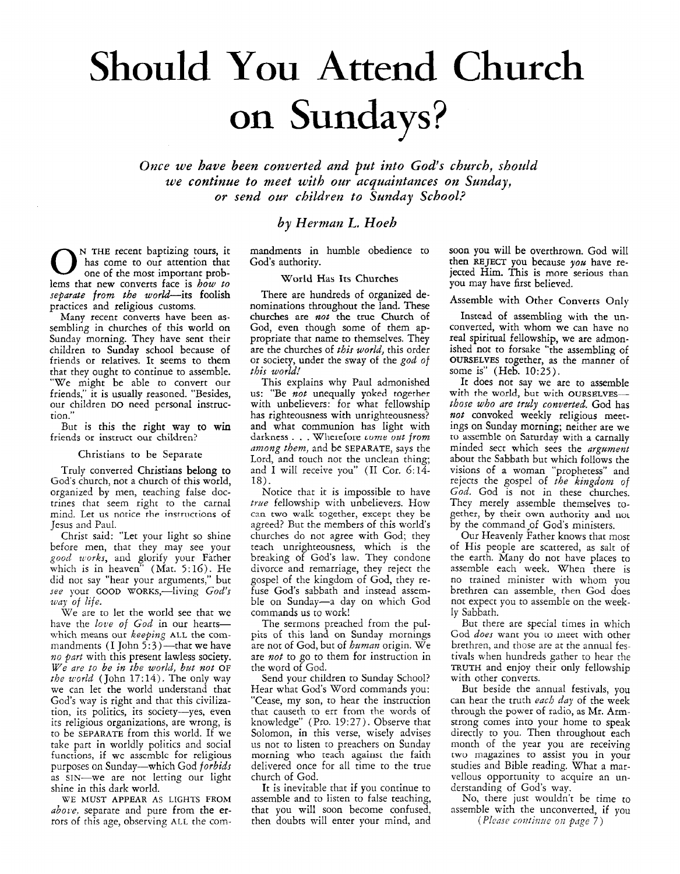# Should **You Attend** Church on Sundays?

*Once we have been converted and put into God's church, should we continue to meet with our acquaintances on Sunday, or send ow children to Sunday School?* 

## *by Herman L. Hoeh*

mandments in humble obedience to God's authority.

#### World **Has Its** Churches

There are hundreds of organized denominations throughout the land. These churches are *not* the true Church of God, even though some of them appropriate that name to themselves. They are the churches of *this world,* this order or society, under the sway of the *god of this world!* 

This explains why Paul admonished **us:** "Be *not* unequally yoked together with unbelievers: for what fellowship has righteousness with unrighteousness? and what communion has light with darkness . . . Wherefore *come out from nmong them,* and be **SEPARATE,** says the Lord, and touch not the unclean thing; and I will receive you" **(I1** Cor. *6:14-*  18).

Notice that it is impossible to have *true* fellowship with unbelievers. How can two walk together, except they be agreed? But the members of this world's churches do not agree with God; they teach unrighteousness, which is the breaking of God's law. They condone divorce and remarriage, they reject the gospel of the kingdom of God, they refuse God's sabbath and instead assemble on Sunday-a day on which God commands us to work!

The sermons preached from the pulpits of this land on Sunday mornings are not of God, but of *human* origin. We are *not* to go to them for instruction in the word of God.

Send your children to Sunday School? Hear what God's Word commands you: "Cease, my son, to hear the instruction that causeth to err from the words of knowledge" (Pro. 19:27). Observe that Solomon, in this verse, wisely advises us not to listen to preachers on Sunday morning who teach against the faith delivered once for all time to the true church of God.

It is inevitable that if you continue to assemble and to listen to false teaching, that you will soon become confused, then doubts will enter your mind, and

soon you will be overthrown. God will then REJECT you because you have rejected Him. This is more serious than you may have first believed.

#### Assemble with Other Converts Only

Instead of assembling with the unconverted, with whom we can have no real spiritual fellowship, we are admonished not to forsake "the assembling of **OURSELVES** together, **as** the manner of some is" (Heb. 10:25).

It does not say we are to assemble with the world, but with **OURSELVES-**  *those who are trdy converted.* God has *not* convoked weekly religious meetings on Sunday morning; neither are we tu assemble on Saturday with a carnally minded sect which sees the *argument* about the Sabbath but which follows the visions of a woman "prophetess" and rejects the gospel of *the kingdom* of *God.* God is not in these churches. They merely assemble themselves together, by their own authority and not by the command of God's ministers.

Our Heavenly Father knows that most of His people are scattered, as salt of the earth. Many do not have places to assemble each week. When there is no trained minister with whom you brethren can assemble, then God does not expect you to assemble on the weekly Sabbath.

But there are special times in which God *does* want you to meet with other brethren, and those are at the annual festivals when hundreds gather to hear the TRUTH and enjoy their only fellowship with other converts.

But beside the annual festivals, you can hear the truth *each day* of the week through the power of radio, as Mr. Armstrong comes into your home to speak directly to you. Then throughout each month of the year you are receiving twu magazines *to* assist you in your studies and Bible reading. What a marvellous opportunity to acquire an understanding of God's way.

No, there just wouldn't be time to assemble with the unconverted, if you

*(Please continue on page 7)* 

**CO**<sup>N</sup> THE recent baptizing tours, it has come to our attention that one of the most important problems that new converts face is *how to* one of the most important prob*separate from the* world-its foolish practices and religious customs.

Many recent converts have been **as**sembling in churches of this world on Sunday morning. They have sent their children to Sunday school because of friends or relatives. It seems to them that they ought to continue to assemble. "We might be able to convert our friends," it is usually reasoned. "Besides, our children DO need personal instruction.'

But is this the right way to **win**  friends or instruct our children?

#### Christians to be Separate

Truly converted Christians belong to God's church, not a church of this world, organized by men, teaching false doctrines that seem right to the carnal mind. Let us notice the instructions of Jesus and Paul.

Christ said: "Let your light so shine before men, that they may see your *good zcorks,* and glorify your Father which is in heaven" (Mat. 5:16). He did not say "hear your arguments," but see your GOOD WORKS,-living God's *zuay* of *life.* 

We are to let the world see that we have the love of God in our heartswhich means our *keeping* ALL the commandments (I John 5:3)—that we have *no part* with this present lawless society. *We are to be in the world, but not* OF *the world* (John 17: 14). The only way we can let the world understand that God's way is right and that this civilization, its politics, its society-yes, even its religious organizations, are wrong, is to be **SEPARATE** from this world. If we take part in worldly politics and social functions, if **wc** asscmblc for religious purposes on Sunday-which God *forbids*  as SIN-we are not letting our light shine in this dark world.

*abote.* separate and pure from the errors of this age, observing ALL the com-WE **hfUST APPEAR AS** LIGHTS FROM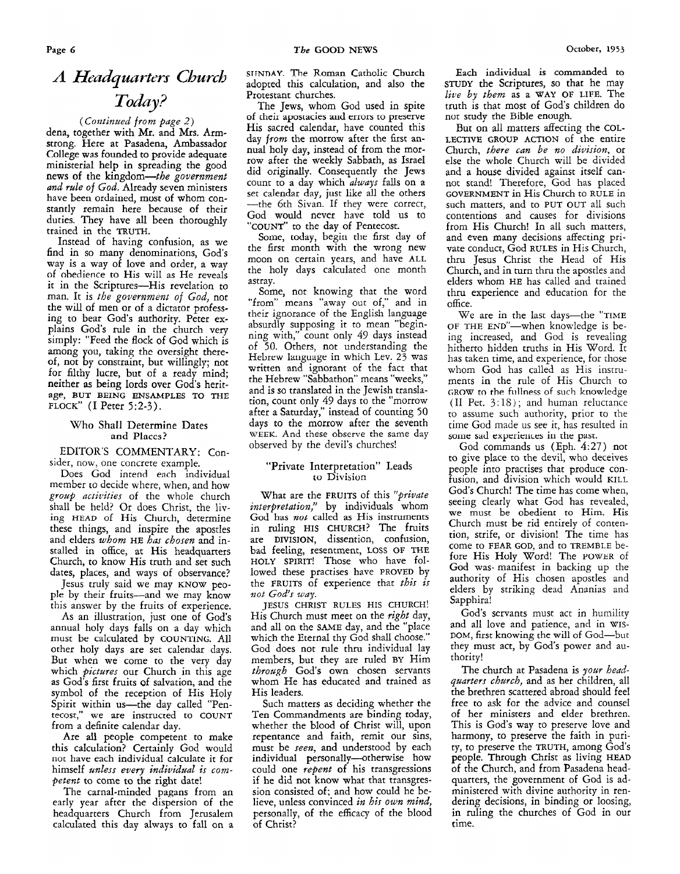# A Headquarters Church *Today?*

### *(Continued from page 2)*

dena, together with Mr. and **Mrs.** Armstrong. Here at Pasadena, Ambassador College **was** founded to provide adequate ministerial help in spreading the good news of the kingdom-the *government and rule of God.* Already seven ministers have been ordained, must of whom constantly remain here because of their duties. They have all been thoroughly trained in the **TRUTH.** 

Instead of having confusion, **as** we find in so many denominations, God's way is a way of love and order, a way of obedience to His will as He reveals it in the Scriptures-His revelation to man. It is *the government of God,* not the will of men or of a dictator professing to bear God's authority. Peter explains God's rule in the church very simply: "Feed the flock of God which **is**  among you, taking the oversight thereof, not by constraint, but willingly; not for filthy lucre, but of a ready mind; neither **as** being lords over God's herit**age, BUT BEING ENSAMPLES TO THE FLOCK"** (I Peter 5:2-3).

#### Who Shall Determine Dates and Places?

EDITOR'S COMMENTARY: Consider, now, one concrete example.

Does God intend each individual member to decide where, when, and how *group activities* of the whole church shall be held? Or does Christ, the living **HEAD** of His Church, determine these things, and inspire the apostles and elders whom HE has chosen and installed in office, at His headquarters Church, to know His truth and set such dates, places, and ways of observance?

Jesus truly said we may **KNOW** people by their fruits-and we may know this answer by the fruits of experience.

As an illustration, just one of God's annual holy days falls on a day which must be calculated by COUNTING. All other holy days are set calendar days. But when we come to the very day which *pictures* our Church in this age as God's first fruits of salvation, and the symbol of the reception of His Holy Spirit within us-the day called "Pentecost," we are instructed to **COUNT**  from a definite calendar day.

Are all people competent to make this calculation? Certainly God would not have each individual calculate it for himself *unless every individual is competent* to come to the right date!

The carnal-minded pagans from an early year after the dispersion of the headquarters Church from Jerusalem calculated this day always to fall on a **SliNnAY** The Roman Catholic Church adopted this calculation, and also the Protestant churches.

The Jews, whom God used in spite of their apostacies and errors to preserve His sacred calendar, have counted this day *from* the morrow after the first annual holy day, instead of from the morrow after the weekly Sabbath, **as** Israel did originally. Consequently the Jews count to a day which *always* falls on a set calendar day, just like all the others -the 6th Sivan. If they were correct, God would never have told us to **"COUNT"** to the day of Pentecost.

Some, today, begin the first day of the first month with the wrong new moon on certain years, and have **ALL**  the holy days calculated one month astray.

Some, not knowing that the word "from" means "away out of," and in their ignorance of the English language absurdly supposing it to mean "beginning with," count only *49* days instead of 50. Others, not understanding the Hebrew language in which Lev. 23 was written and ignorant of the fact that the Hebrew "Sabbathon" means "weeks," and is so translated in the Jewish translation, count only 49 days to the "morrow after a Saturday," instead of counting 50 days to the morrow after the seventh **WEEK.** And these observe the same day observed by the devil's churches!

#### "Private Interpretation" Leads **to** Division

What are the **FRUITS** of this *"private interpetation,"* by individuals whom God has *not* called as His instruments in ruling **HIS CHURCH?** The fruits are **DIVISION,** dissention, confusion, bad feeling, resentment, LOSS **OF THE HOLY SPIRIT!** Those who have followed these practises have PROVED by the **FRUITS** of experience that *this is not God's way.* 

JESUS **CHRIST RULES HIS CHURCH!**  His Church must meet on the *right* day, and all on the **SAME** day, and the "place which the Eternal thy God shall choose." God does not rule thru individual lay members, but they are ruled **BY** Him *through* Gods own chosen servants whom He has educated and trained as His leaders.

Such matters as deciding whether the Ten Commandments are binding today, whether the blood of Christ will, upon repentance and faith, remit our sins, must be *seen,* and understood by each individual personally-otherwise how could one *repent* of his transgressions if he did not know what that transgression consisted of; and how could he believe, unless convinced *in his own mind,*  personally, of the efficacy of the blood of Christ?

**Each** individual is commanded to **STUDY** the Scriptures, so that he may *live by them* as a **WAY OF LIFE.** The truth is that most of God's children do nor study the Bible enough.

But on all matters affecting the COL-**LECTIVE GROUP ACTION** of the entire Church, *there can be no division,* or else the whole Church will be divided and a house divided against itself cannot stand! Therefore, God has placed **GOVERNMENT** in His Church to **RULE** in such matters, and to PUT OUT all such contentions and causes for divisions from His Church! In all such matters, and even many decisions affecting private conduct, God **RULES** in His Church, thru Jesus Christ the Head of His Church, and in turn thru the apostles and elders whom **HE** has called and trained thru experience and education for the office.

We are in the last days-the "TIME OF **THE** END"-when knowledge is being increased, and God is revealing hitherto hidden truths in His Word. It has taken time, and experience, for those whom God has called as His instruments in the rule of His Church to GROW to the **fiillness** of **such** knowledge (II Pet. 3:18); and human reluctance to assume such authority, prior to the time God made us see it, has resulted in some sad experiences in the past.

God commands us (Eph. 4:27) not to give place to the devil, who deceives people into practises that produce confusion, and division which would **KILL**  God's Church! The time has come when, seeing clearly what God has revealed, we must be obedient to Him. His Church must be rid entirely of contention, strife, or division! The time has come to **FEAR** GOD, and to **TREMBLE** before His Holy Word! The POWER of God was- manifest in backing up the authority of His chosen apostles and elders by striking dead Ananias and Sapphira!

God's servants must act in humility and all love and patience, and in **WIS-**DOM, first knowing the will of God-but they must act, by God's power and authority!

The church at Pasadena is *your headquarters church,* and as her children, all the brethren scattered abroad should feel free to ask for the advice and counsel of her ministers and elder brethren. This is God's way to preserve love and harmony, to preserve the faith in purity, to preserve the **TRUTH,** among God's people. Through Christ as living **HEAD**  of the Church, and from Pasadena headquarters, the government of God is administered with divine authority in rendering decisions, in binding or loosing, in ruling the churches of God in our time.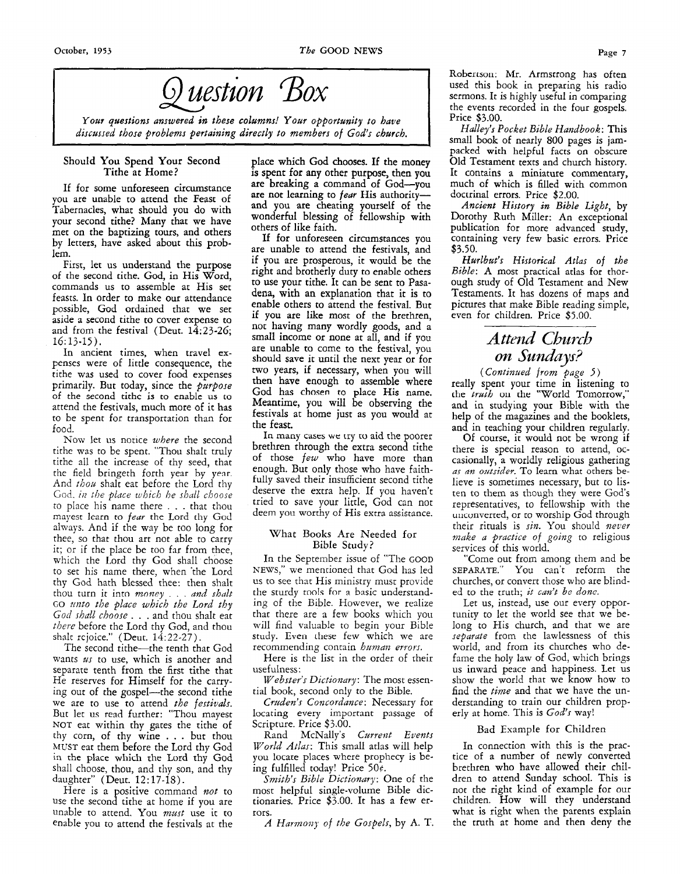

*Your questions answered in these cohmns! Your opportunity to have dzscussed those problems pertaining directly to members of God's church.* 

#### Should You Spend Your Second Tithe at Home?

If for some unforeseen circumstance you are unable to attend the Feast of Tabernacles, what should you do with your second tithe? Many that we have met on the baptizing tours, and others by letters, have asked about this problem.

First, let us understand the purpose of the second tithe. God, in His Word, commands us to assemble at His set feasts. In order to make our attendance possible, God ordained that we set aside a second tithe to cover expense to and from the festival (Deut. *14:23-26;*  16: 13-15).

In ancient times, when travel **ex**penses were of little consequence, the tithe was used to cover food expenses primarily. But today, since the *purpose*  of the second tithc **is** to enable us to attend the festivals, much more of it has to be spent for transportation than for food.

Now let us notice *where* the second tithe was to be spent. "Thou shalt truly tithe all the increase of thy seed, that the field bringeth forth year by year And *thou* shalt eat before the Lord thy God. *in the place which he shall choose* to place his name there . . . that thou mayest learn to *feur* the Lord thy God always. And if the way be too long for thee, so that thou art not able to carry it; or if the place be too far from thee, which the Lord thy God shall choose to set his name there, when 'the Lord thy God hath blessed thee: then shalt thou turn it into *money* . . . and shalt GO *zinto the place which the Lord thy God shall choose* . . . and thou shalt eat *there* before the Lord thy God, and thou shalt rejoice." (Deut.  $14:22-27$ ).

The second tithe-the tenth that God wants *us* to use, which is another and separate tenth from the first tithe that He reserves for Himself for the carrying out of the gospel-the second tithe we are to use to attend *the festivals.*  But let us read further: "Thou mayest NOT eat within thy gates the tithe of thy corn, of thy wine . . . but thou MUST eat them before the Lord thy God in the place which rhe Lord thy God shall choose, thou, and thy son, and thy daughter" (Deut. 12:17-18).

Here is a positive command *not* to use the second tithe at home if you are unable to attend. You *mast* use it to enable you to attend the festivals at the place which God chooses. If the money **is spent** for any other purpose, then you are breaking a command of God-you are not learning to *fear* His authorityand you are cheating yourself of the wonderful blessing of fellowship with others of like faith.

If for unforeseen circumstances you are unable to attend the festivals, and if you are prosperous, it would be the right and brotherly duty to enable others to use your tithe. It can be sent to Pasadena, with an explanation that it is to enable others to attend the festival. But if you are like most of the brethren, not having many wordly goods, and a small income or none at all, and if you are unable to come to the festival, you should save it until the next year or for *two* years, if necessary, when you will then have enough to assemble where God has chosen to place **His** name. Meantime, you will be observing the festivals at home just as you would at the feast.

**In** many **cascs we** try **w** aid the poorer brethren through the extra second tithe of those *few* who have more than enough. But only those who have faithfully saved their insufficient second tithe deserve the extra help. If you haven't tried to save your little, God can not deem you worthy of His extra assistance.

#### \Vhat Books Are Needed for Bible Study?

In the September issue of "The GOOD NEWS," we mentioned that God has led us to see that His ministry must provide the sturdy tools for a basic understanding of the Bible. However, we realize that there are a few books which you will find valuable to begin your Bible study. Even these few which we are recommending contain *human errors*.

Here is the list in the order of their usefulness:

*Webster's Dictionary:* The most essential book, second only to the Bible.

Cruden's Concordance: Necessary for locating every important passage of Scripture. Price \$3.00.

Rand McNally's *Current Events World Atlas:* This small atlas will help you locare places where prophecy **is** being fulfilled today! Price *50e.* 

*Smith's Bible Dictionary:* One of the most helpful single-volume Bible dictionaries. Price \$3.00. It has a few errors.

*A Harmoa? of the Gospels,* by **A.** T.

Robertson: Mr. Armstrong has often used this book in preparing his radio sermons. It is highly useful in comparing the events recorded in the four gospels. Price \$3.00.

*Halley's Pocket Bible Haizdbook:* This small book of nearly 800 pages is jampacked with helpful facts on obscure Old Testament texts and church history. It contains a miniature commentary, much of which is filled with common doctrinal errors. Price \$2.00.

*Ancient History in Bible Light,* by Dorothy Ruth Miller: An exceptional publication for more advanced study, containing very few basic errors. Price \$3.50.

*Hurlbut's Historical Atlas* of *the Bible:* A most practical atlas for thorough study of Old Testament and New Testaments. It has dozens of maps and pictures that make Bible reading simple, even for children. Price \$5.00.

## *Atlid Church on Sundays?*

*(Continued from page* J) really spent your time in listening to the *traib* on the "World Tomorrow," and in studying your Bible with the help of the magazines and the booklets, and in teaching your children regularly.

Of course, it would not be wrong if there is special reason to attend, occasionally, a worldly religious gathering as an outsider. To learn what others believe is sometimes necessary, but to listen to them as though they were God's representatives, to fellowship with the uriconverted, or to worship God through their rituals is *sin.* You should *never maLe a practice* of *going* to religious services of this world.

"Come out from among them and be SEPARATE." You can't reform the churches, or convert those who are blinded to the truth; *it can't be done.* 

Let us, instead, use our every opportunity to let the world see that we belong to His church, and that we are *separate* from the lawlessness of this world, and from its churches who defame the holy law of God, which brings us inward peace and happiness. Let us show the world that we know how to find the *time* and that we have the understanding to train our children properly at home. This is *God's* way!

#### Bad Example for Children

In connection with this is the practice of a number of newly converted brethren who have allowed their children to attend Sunday school. This is not the right kind of example for our children. How will they understand what is right when the parents explain the truth at home and then deny the